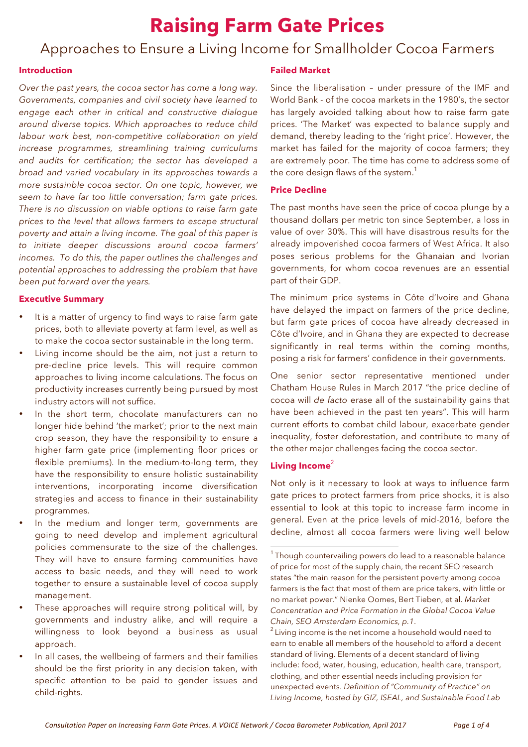# **Raising Farm Gate Prices**

# Approaches to Ensure a Living Income for Smallholder Cocoa Farmers

#### **Introduction**

*Over the past years, the cocoa sector has come a long way. Governments, companies and civil society have learned to engage each other in critical and constructive dialogue around diverse topics. Which approaches to reduce child labour work best, non-competitive collaboration on yield increase programmes, streamlining training curriculums and audits for certification; the sector has developed a broad and varied vocabulary in its approaches towards a more sustainble cocoa sector. On one topic, however, we seem to have far too little conversation; farm gate prices. There is no discussion on viable options to raise farm gate prices to the level that allows farmers to escape structural poverty and attain a living income. The goal of this paper is to initiate deeper discussions around cocoa farmers' incomes. To do this, the paper outlines the challenges and potential approaches to addressing the problem that have been put forward over the years.*

#### **Executive Summary**

- It is a matter of urgency to find ways to raise farm gate prices, both to alleviate poverty at farm level, as well as to make the cocoa sector sustainable in the long term.
- Living income should be the aim, not just a return to pre-decline price levels. This will require common approaches to living income calculations. The focus on productivity increases currently being pursued by most industry actors will not suffice.
- In the short term, chocolate manufacturers can no longer hide behind 'the market'; prior to the next main crop season, they have the responsibility to ensure a higher farm gate price (implementing floor prices or flexible premiums). In the medium-to-long term, they have the responsibility to ensure holistic sustainability interventions, incorporating income diversification strategies and access to finance in their sustainability programmes.
- In the medium and longer term, governments are going to need develop and implement agricultural policies commensurate to the size of the challenges. They will have to ensure farming communities have access to basic needs, and they will need to work together to ensure a sustainable level of cocoa supply management.
- These approaches will require strong political will, by governments and industry alike, and will require a willingness to look beyond a business as usual approach.
- In all cases, the wellbeing of farmers and their families should be the first priority in any decision taken, with specific attention to be paid to gender issues and child-rights.

### **Failed Market**

Since the liberalisation – under pressure of the IMF and World Bank - of the cocoa markets in the 1980's, the sector has largely avoided talking about how to raise farm gate prices. 'The Market' was expected to balance supply and demand, thereby leading to the 'right price'. However, the market has failed for the majority of cocoa farmers; they are extremely poor. The time has come to address some of the core design flaws of the system. $^{\rm 1}$ 

# **Price Decline**

The past months have seen the price of cocoa plunge by a thousand dollars per metric ton since September, a loss in value of over 30%. This will have disastrous results for the already impoverished cocoa farmers of West Africa. It also poses serious problems for the Ghanaian and Ivorian governments, for whom cocoa revenues are an essential part of their GDP.

The minimum price systems in Côte d'Ivoire and Ghana have delayed the impact on farmers of the price decline, but farm gate prices of cocoa have already decreased in Côte d'Ivoire, and in Ghana they are expected to decrease significantly in real terms within the coming months, posing a risk for farmers' confidence in their governments.

One senior sector representative mentioned under Chatham House Rules in March 2017 "the price decline of cocoa will *de facto* erase all of the sustainability gains that have been achieved in the past ten years". This will harm current efforts to combat child labour, exacerbate gender inequality, foster deforestation, and contribute to many of the other major challenges facing the cocoa sector.

#### **Living Income**<sup>2</sup>

 

Not only is it necessary to look at ways to influence farm gate prices to protect farmers from price shocks, it is also essential to look at this topic to increase farm income in general. Even at the price levels of mid-2016, before the decline, almost all cocoa farmers were living well below

 $1$ Though countervailing powers do lead to a reasonable balance of price for most of the supply chain, the recent SEO research states "the main reason for the persistent poverty among cocoa farmers is the fact that most of them are price takers, with little or no market power." Nienke Oomes, Bert Tieben, et al. *Market Concentration and Price Formation in the Global Cocoa Value Chain, SEO Amsterdam Economics, p.1*.

<sup>&</sup>lt;sup>2</sup> Living income is the net income a household would need to earn to enable all members of the household to afford a decent standard of living. Elements of a decent standard of living include: food, water, housing, education, health care, transport, clothing, and other essential needs including provision for unexpected events. *Definition of "Community of Practice" on Living Income, hosted by GIZ, ISEAL, and Sustainable Food Lab*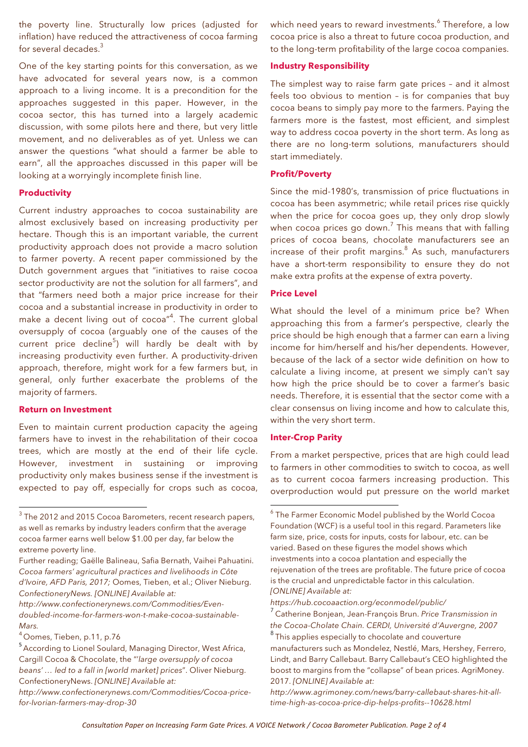the poverty line. Structurally low prices (adjusted for inflation) have reduced the attractiveness of cocoa farming for several decades.<sup>3</sup>

One of the key starting points for this conversation, as we have advocated for several years now, is a common approach to a living income. It is a precondition for the approaches suggested in this paper. However, in the cocoa sector, this has turned into a largely academic discussion, with some pilots here and there, but very little movement, and no deliverables as of yet. Unless we can answer the questions "what should a farmer be able to earn", all the approaches discussed in this paper will be looking at a worryingly incomplete finish line.

#### **Productivity**

Current industry approaches to cocoa sustainability are almost exclusively based on increasing productivity per hectare. Though this is an important variable, the current productivity approach does not provide a macro solution to farmer poverty. A recent paper commissioned by the Dutch government argues that "initiatives to raise cocoa sector productivity are not the solution for all farmers", and that "farmers need both a major price increase for their cocoa and a substantial increase in productivity in order to make a decent living out of cocoa"<sup>4</sup>. The current global oversupply of cocoa (arguably one of the causes of the current price decline<sup>5</sup>) will hardly be dealt with by increasing productivity even further. A productivity-driven approach, therefore, might work for a few farmers but, in general, only further exacerbate the problems of the majority of farmers.

#### **Return on Investment**

 

Even to maintain current production capacity the ageing farmers have to invest in the rehabilitation of their cocoa trees, which are mostly at the end of their life cycle. However, investment in sustaining or improving productivity only makes business sense if the investment is expected to pay off, especially for crops such as cocoa,

*http://www.confectionerynews.com/Commodities/Evendoubled-income-for-farmers-won-t-make-cocoa-sustainable-Mars.*

which need years to reward investments.<sup>6</sup> Therefore, a low cocoa price is also a threat to future cocoa production, and to the long-term profitability of the large cocoa companies.

#### **Industry Responsibility**

The simplest way to raise farm gate prices – and it almost feels too obvious to mention – is for companies that buy cocoa beans to simply pay more to the farmers. Paying the farmers more is the fastest, most efficient, and simplest way to address cocoa poverty in the short term. As long as there are no long-term solutions, manufacturers should start immediately.

#### **Profit/Poverty**

Since the mid-1980's, transmission of price fluctuations in cocoa has been asymmetric; while retail prices rise quickly when the price for cocoa goes up, they only drop slowly when cocoa prices go down.<sup>7</sup> This means that with falling prices of cocoa beans, chocolate manufacturers see an increase of their profit margins. $8$  As such, manufacturers have a short-term responsibility to ensure they do not make extra profits at the expense of extra poverty.

#### **Price Level**

What should the level of a minimum price be? When approaching this from a farmer's perspective, clearly the price should be high enough that a farmer can earn a living income for him/herself and his/her dependents. However, because of the lack of a sector wide definition on how to calculate a living income, at present we simply can't say how high the price should be to cover a farmer's basic needs. Therefore, it is essential that the sector come with a clear consensus on living income and how to calculate this, within the very short term.

#### **Inter-Crop Parity**

 

From a market perspective, prices that are high could lead to farmers in other commodities to switch to cocoa, as well as to current cocoa farmers increasing production. This overproduction would put pressure on the world market

<sup>&</sup>lt;sup>3</sup> The 2012 and 2015 Cocoa Barometers, recent research papers, as well as remarks by industry leaders confirm that the average cocoa farmer earns well below \$1.00 per day, far below the extreme poverty line.

Further reading; Gaëlle Balineau, Safia Bernath, Vaihei Pahuatini. *Cocoa farmers' agricultural practices and livelihoods in Côte d'Ivoire, AFD Paris, 2017;* Oomes, Tieben, et al.; Oliver Nieburg. *ConfectioneryNews. [ONLINE] Available at:* 

<sup>4</sup> Oomes, Tieben, p.11, p.76

<sup>&</sup>lt;sup>5</sup> According to Lionel Soulard, Managing Director, West Africa, Cargill Cocoa & Chocolate, the "'*large oversupply of cocoa beans' … led to a fall in [world market] prices*". Oliver Nieburg. ConfectioneryNews. *[ONLINE] Available at:* 

*http://www.confectionerynews.com/Commodities/Cocoa-pricefor-Ivorian-farmers-may-drop-30*

<sup>&</sup>lt;sup>6</sup> The Farmer Economic Model published by the World Cocoa Foundation (WCF) is a useful tool in this regard. Parameters like farm size, price, costs for inputs, costs for labour, etc. can be varied. Based on these figures the model shows which investments into a cocoa plantation and especially the rejuvenation of the trees are profitable. The future price of cocoa is the crucial and unpredictable factor in this calculation. *[ONLINE] Available at:* 

*https://hub.cocoaaction.org/econmodel/public/*

<sup>7</sup> Catherine Bonjean, Jean-François Brun. *Price Transmission in the Cocoa-Cholate Chain. CERDI, Université d'Auvergne, 2007* <sup>8</sup> This applies especially to chocolate and couverture

manufacturers such as Mondelez, Nestlé, Mars, Hershey, Ferrero, Lindt, and Barry Callebaut. Barry Callebaut's CEO highlighted the boost to margins from the "collapse" of bean prices. AgriMoney. 2017. *[ONLINE] Available at:* 

*http://www.agrimoney.com/news/barry-callebaut-shares-hit-alltime-high-as-cocoa-price-dip-helps-profits--10628.html*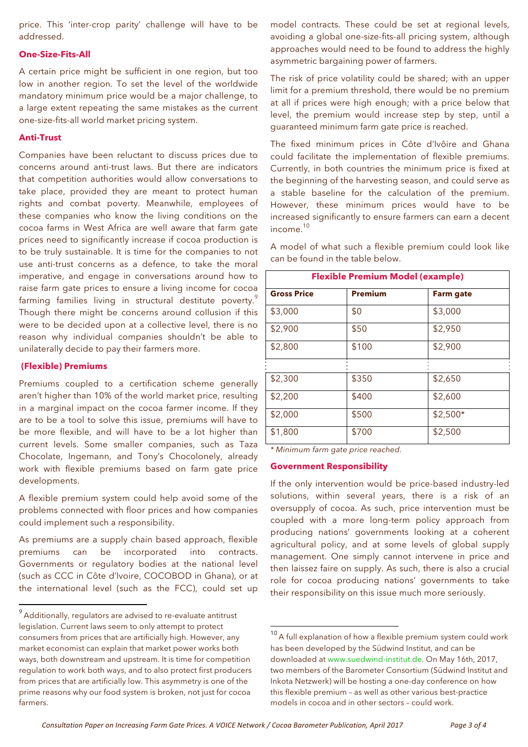price. This 'inter-crop parity' challenge will have to be addressed.

#### **One-Size-Fits-All**

A certain price might be sufficient in one region, but too low in another region. To set the level of the worldwide mandatory minimum price would be a major challenge, to a large extent repeating the same mistakes as the current one-size-fits-all world market pricing system.

# **Anti-Trust**

Companies have been reluctant to discuss prices due to concerns around anti-trust laws. But there are indicators that competition authorities would allow conversations to take place, provided they are meant to protect human rights and combat poverty. Meanwhile, employees of these companies who know the living conditions on the cocoa farms in West Africa are well aware that farm gate prices need to significantly increase if cocoa production is to be truly sustainable. It is time for the companies to not use anti-trust concerns as a defence, to take the moral imperative, and engage in conversations around how to raise farm gate prices to ensure a living income for cocoa farming families living in structural destitute poverty.<sup>9</sup> Though there might be concerns around collusion if this were to be decided upon at a collective level, there is no reason why individual companies shouldn't be able to unilaterally decide to pay their farmers more.

#### **(Flexible) Premiums**

Premiums coupled to a certification scheme generally aren't higher than 10% of the world market price, resulting in a marginal impact on the cocoa farmer income. If they are to be a tool to solve this issue, premiums will have to be more flexible, and will have to be a lot higher than current levels. Some smaller companies, such as Taza Chocolate, Ingemann, and Tony's Chocolonely, already work with flexible premiums based on farm gate price developments.

A flexible premium system could help avoid some of the problems connected with floor prices and how companies could implement such a responsibility.

As premiums are a supply chain based approach, flexible premiums can be incorporated into contracts. Governments or regulatory bodies at the national level (such as CCC in Côte d'Ivoire, COCOBOD in Ghana), or at the international level (such as the FCC), could set up

 

model contracts. These could be set at regional levels, avoiding a global one-size-fits-all pricing system, although approaches would need to be found to address the highly asymmetric bargaining power of farmers.

The risk of price volatility could be shared; with an upper limit for a premium threshold, there would be no premium at all if prices were high enough; with a price below that level, the premium would increase step by step, until a guaranteed minimum farm gate price is reached.

The fixed minimum prices in Côte d'Ivôire and Ghana could facilitate the implementation of flexible premiums. Currently, in both countries the minimum price is fixed at the beginning of the harvesting season, and could serve as a stable baseline for the calculation of the premium. However, these minimum prices would have to be increased significantly to ensure farmers can earn a decent income.10

A model of what such a flexible premium could look like can be found in the table below.

| <b>Flexible Premium Model (example)</b> |                |                  |
|-----------------------------------------|----------------|------------------|
| <b>Gross Price</b>                      | <b>Premium</b> | <b>Farm gate</b> |
| \$3,000                                 | \$0            | \$3,000          |
| \$2,900                                 | \$50           | \$2,950          |
| \$2,800                                 | \$100          | \$2,900          |
|                                         |                |                  |
| \$2,300                                 | \$350          | \$2,650          |
| \$2,200                                 | \$400          | \$2,600          |
| \$2,000                                 | \$500          | $$2,500*$        |
| \$1,800                                 | \$700          | \$2,500          |

*\* Minimum farm gate price reached.*

 

#### **Government Responsibility**

If the only intervention would be price-based industry-led solutions, within several years, there is a risk of an oversupply of cocoa. As such, price intervention must be coupled with a more long-term policy approach from producing nations' governments looking at a coherent agricultural policy, and at some levels of global supply management. One simply cannot intervene in price and then laissez faire on supply. As such, there is also a crucial role for cocoa producing nations' governments to take their responsibility on this issue much more seriously.

 $9$  Additionally, regulators are advised to re-evaluate antitrust legislation. Current laws seem to only attempt to protect consumers from prices that are artificially high. However, any market economist can explain that market power works both ways, both downstream and upstream. It is time for competition regulation to work both ways, and to also protect first producers from prices that are artificially low. This asymmetry is one of the prime reasons why our food system is broken, not just for cocoa farmers.

 $10<sup>10</sup>$  A full explanation of how a flexible premium system could work has been developed by the Südwind Institut, and can be downloaded at www.suedwind-institut.de. On May 16th, 2017, two members of the Barometer Consortium (Südwind Institut and Inkota Netzwerk) will be hosting a one-day conference on how this flexible premium – as well as other various best-practice models in cocoa and in other sectors – could work.